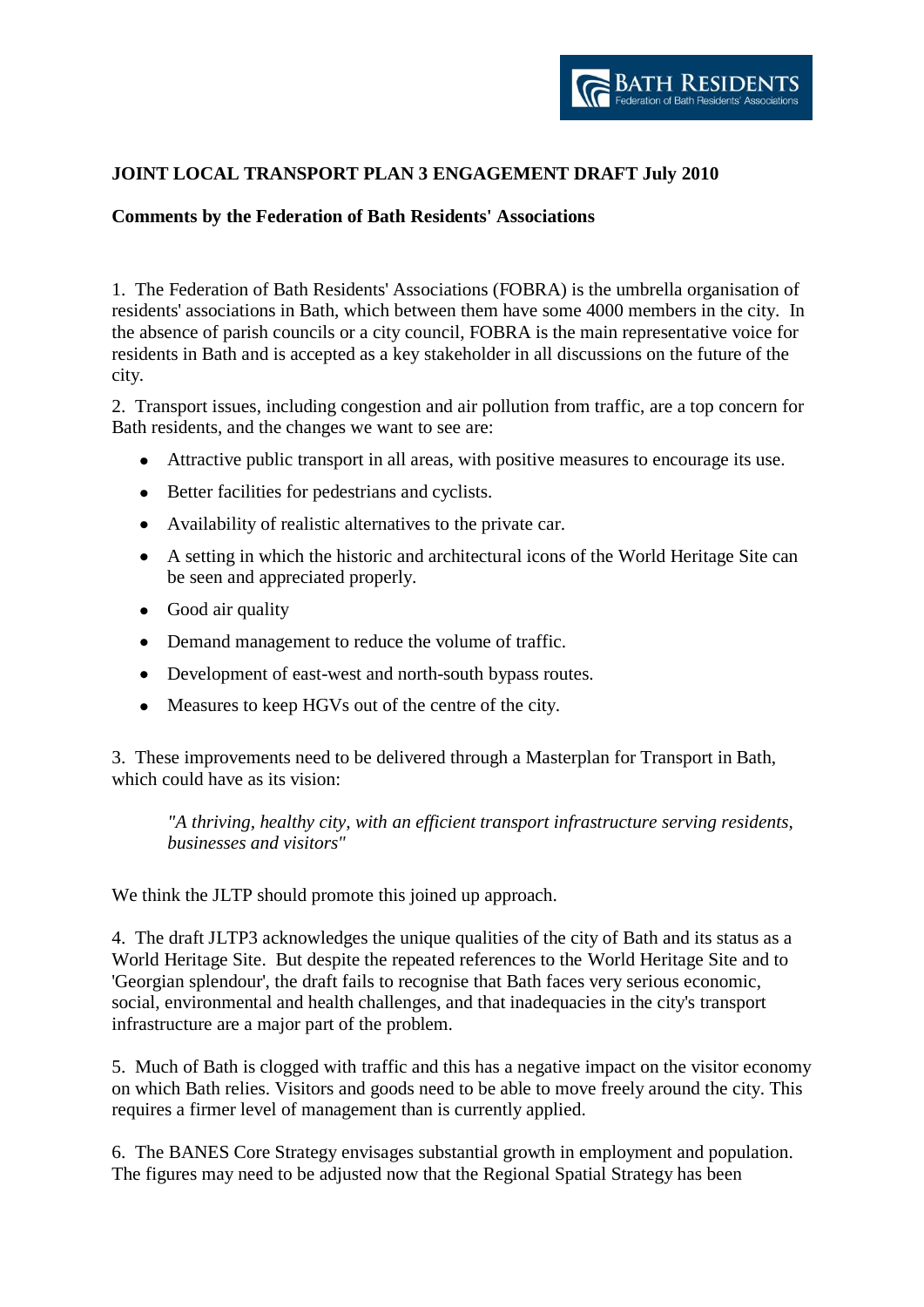

## **JOINT LOCAL TRANSPORT PLAN 3 ENGAGEMENT DRAFT July 2010**

## **Comments by the Federation of Bath Residents' Associations**

1. The Federation of Bath Residents' Associations (FOBRA) is the umbrella organisation of residents' associations in Bath, which between them have some 4000 members in the city. In the absence of parish councils or a city council, FOBRA is the main representative voice for residents in Bath and is accepted as a key stakeholder in all discussions on the future of the city.

2. Transport issues, including congestion and air pollution from traffic, are a top concern for Bath residents, and the changes we want to see are:

- Attractive public transport in all areas, with positive measures to encourage its use.
- Better facilities for pedestrians and cyclists.
- Availability of realistic alternatives to the private car.
- A setting in which the historic and architectural icons of the World Heritage Site can be seen and appreciated properly.
- Good air quality
- Demand management to reduce the volume of traffic.
- Development of east-west and north-south bypass routes.
- Measures to keep HGVs out of the centre of the city.

3. These improvements need to be delivered through a Masterplan for Transport in Bath, which could have as its vision:

*"A thriving, healthy city, with an efficient transport infrastructure serving residents, businesses and visitors"*

We think the JLTP should promote this joined up approach.

4. The draft JLTP3 acknowledges the unique qualities of the city of Bath and its status as a World Heritage Site. But despite the repeated references to the World Heritage Site and to 'Georgian splendour', the draft fails to recognise that Bath faces very serious economic, social, environmental and health challenges, and that inadequacies in the city's transport infrastructure are a major part of the problem.

5. Much of Bath is clogged with traffic and this has a negative impact on the visitor economy on which Bath relies. Visitors and goods need to be able to move freely around the city. This requires a firmer level of management than is currently applied.

6. The BANES Core Strategy envisages substantial growth in employment and population. The figures may need to be adjusted now that the Regional Spatial Strategy has been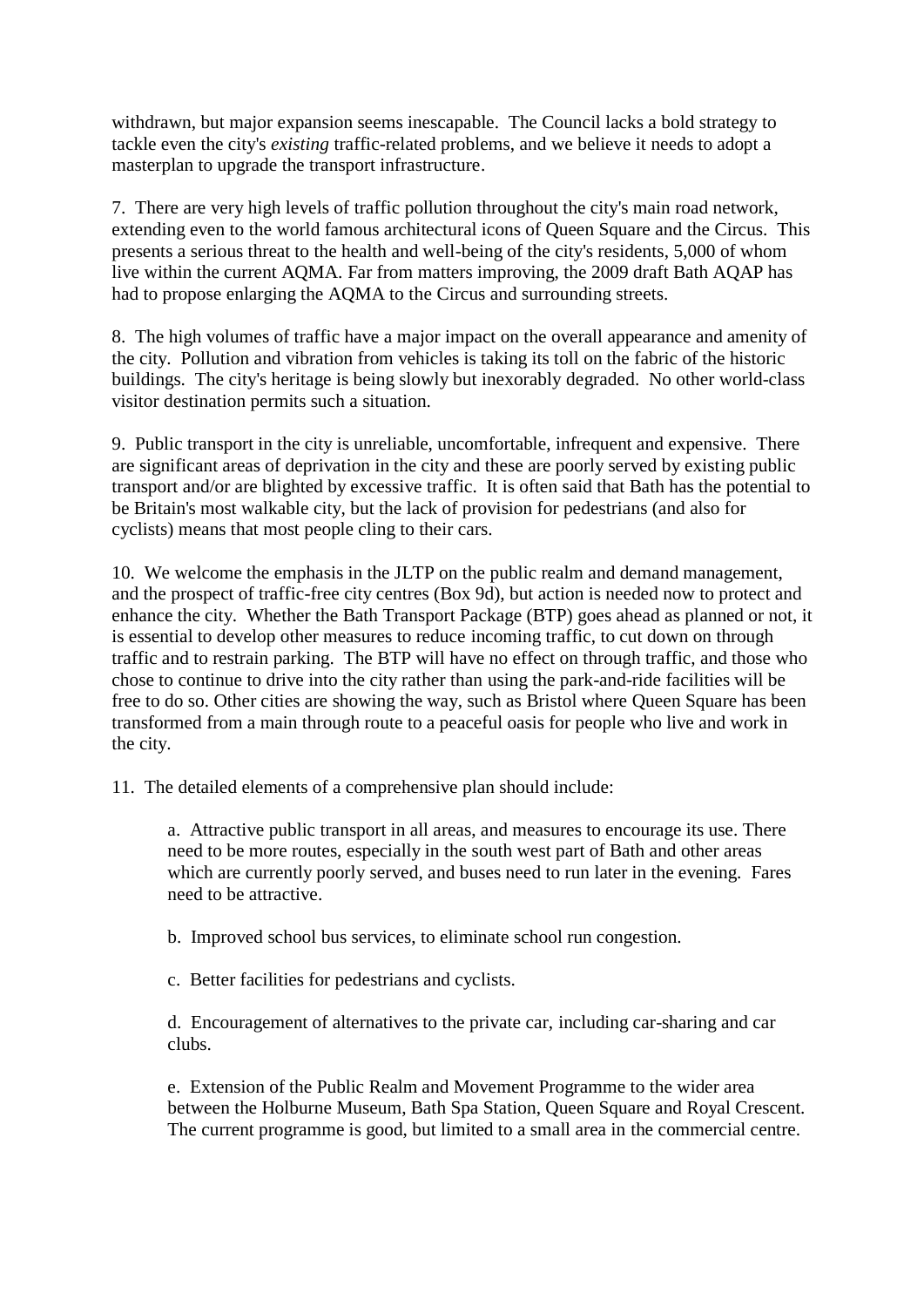withdrawn, but major expansion seems inescapable. The Council lacks a bold strategy to tackle even the city's *existing* traffic-related problems, and we believe it needs to adopt a masterplan to upgrade the transport infrastructure.

7. There are very high levels of traffic pollution throughout the city's main road network, extending even to the world famous architectural icons of Queen Square and the Circus. This presents a serious threat to the health and well-being of the city's residents, 5,000 of whom live within the current AQMA. Far from matters improving, the 2009 draft Bath AQAP has had to propose enlarging the AQMA to the Circus and surrounding streets.

8. The high volumes of traffic have a major impact on the overall appearance and amenity of the city. Pollution and vibration from vehicles is taking its toll on the fabric of the historic buildings. The city's heritage is being slowly but inexorably degraded. No other world-class visitor destination permits such a situation.

9. Public transport in the city is unreliable, uncomfortable, infrequent and expensive. There are significant areas of deprivation in the city and these are poorly served by existing public transport and/or are blighted by excessive traffic. It is often said that Bath has the potential to be Britain's most walkable city, but the lack of provision for pedestrians (and also for cyclists) means that most people cling to their cars.

10. We welcome the emphasis in the JLTP on the public realm and demand management, and the prospect of traffic-free city centres (Box 9d), but action is needed now to protect and enhance the city. Whether the Bath Transport Package (BTP) goes ahead as planned or not, it is essential to develop other measures to reduce incoming traffic, to cut down on through traffic and to restrain parking. The BTP will have no effect on through traffic, and those who chose to continue to drive into the city rather than using the park-and-ride facilities will be free to do so. Other cities are showing the way, such as Bristol where Queen Square has been transformed from a main through route to a peaceful oasis for people who live and work in the city.

11. The detailed elements of a comprehensive plan should include:

a. Attractive public transport in all areas, and measures to encourage its use. There need to be more routes, especially in the south west part of Bath and other areas which are currently poorly served, and buses need to run later in the evening. Fares need to be attractive.

b. Improved school bus services, to eliminate school run congestion.

c. Better facilities for pedestrians and cyclists.

d. Encouragement of alternatives to the private car, including car-sharing and car clubs.

e. Extension of the Public Realm and Movement Programme to the wider area between the Holburne Museum, Bath Spa Station, Queen Square and Royal Crescent. The current programme is good, but limited to a small area in the commercial centre.